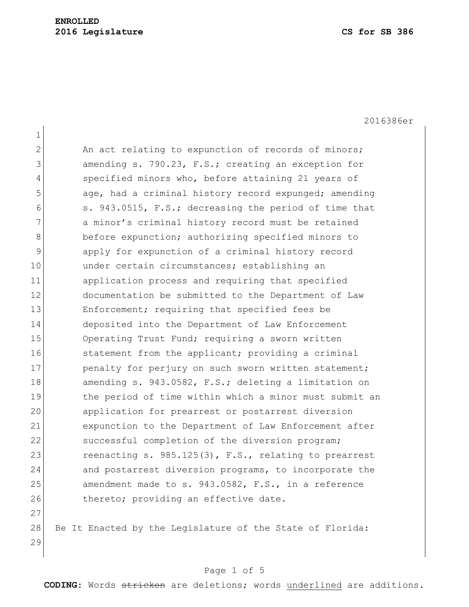2016386er

| $\mathbf 1$    |                                                          |
|----------------|----------------------------------------------------------|
| $\mathbf{2}$   | An act relating to expunction of records of minors;      |
| 3              | amending s. 790.23, F.S.; creating an exception for      |
| $\overline{4}$ | specified minors who, before attaining 21 years of       |
| 5              | age, had a criminal history record expunged; amending    |
| 6              | s. 943.0515, F.S.; decreasing the period of time that    |
| 7              | a minor's criminal history record must be retained       |
| 8              | before expunction; authorizing specified minors to       |
| 9              | apply for expunction of a criminal history record        |
| 10             | under certain circumstances; establishing an             |
| 11             | application process and requiring that specified         |
| 12             | documentation be submitted to the Department of Law      |
| 13             | Enforcement; requiring that specified fees be            |
| 14             | deposited into the Department of Law Enforcement         |
| 15             | Operating Trust Fund; requiring a sworn written          |
| 16             | statement from the applicant; providing a criminal       |
| 17             | penalty for perjury on such sworn written statement;     |
| 18             | amending s. 943.0582, F.S.; deleting a limitation on     |
| 19             | the period of time within which a minor must submit an   |
| 20             | application for prearrest or postarrest diversion        |
| 21             | expunction to the Department of Law Enforcement after    |
| 22             | successful completion of the diversion program;          |
| 23             | reenacting s. $985.125(3)$ , F.S., relating to prearrest |
| 24             | and postarrest diversion programs, to incorporate the    |
| 25             | amendment made to s. 943.0582, F.S., in a reference      |
| 26             | thereto; providing an effective date.                    |
| 27             |                                                          |

28 Be It Enacted by the Legislature of the State of Florida: 

# Page 1 of 5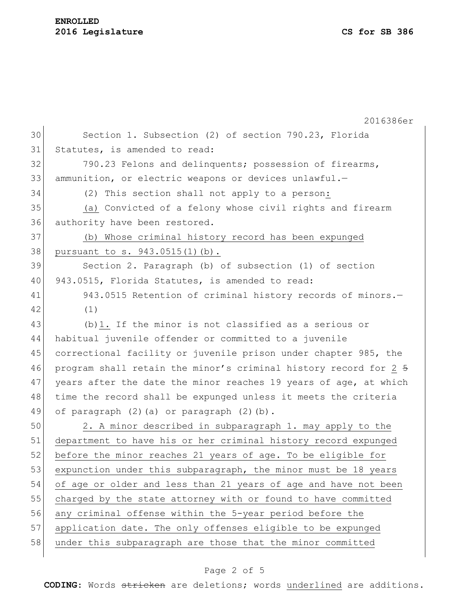### **ENROLLED 2016 Legislature CS for SB 386**

|    | 2016386er                                                        |
|----|------------------------------------------------------------------|
| 30 | Section 1. Subsection (2) of section 790.23, Florida             |
| 31 | Statutes, is amended to read:                                    |
| 32 | 790.23 Felons and delinquents; possession of firearms,           |
| 33 | ammunition, or electric weapons or devices unlawful.-            |
| 34 | (2) This section shall not apply to a person:                    |
| 35 | (a) Convicted of a felony whose civil rights and firearm         |
| 36 | authority have been restored.                                    |
| 37 | (b) Whose criminal history record has been expunged              |
| 38 | pursuant to s. 943.0515(1)(b).                                   |
| 39 | Section 2. Paragraph (b) of subsection (1) of section            |
| 40 | 943.0515, Florida Statutes, is amended to read:                  |
| 41 | 943.0515 Retention of criminal history records of minors.-       |
| 42 | (1)                                                              |
| 43 | (b) 1. If the minor is not classified as a serious or            |
| 44 | habitual juvenile offender or committed to a juvenile            |
| 45 | correctional facility or juvenile prison under chapter 985, the  |
| 46 | program shall retain the minor's criminal history record for 2 5 |
| 47 | years after the date the minor reaches 19 years of age, at which |
| 48 | time the record shall be expunged unless it meets the criteria   |
| 49 | of paragraph (2) (a) or paragraph (2) (b).                       |
| 50 | 2. A minor described in subparagraph 1. may apply to the         |
| 51 | department to have his or her criminal history record expunged   |
| 52 | before the minor reaches 21 years of age. To be eligible for     |
| 53 | expunction under this subparagraph, the minor must be 18 years   |
| 54 | of age or older and less than 21 years of age and have not been  |
| 55 | charged by the state attorney with or found to have committed    |
| 56 | any criminal offense within the 5-year period before the         |
| 57 | application date. The only offenses eligible to be expunged      |
| 58 | under this subparagraph are those that the minor committed       |

# Page 2 of 5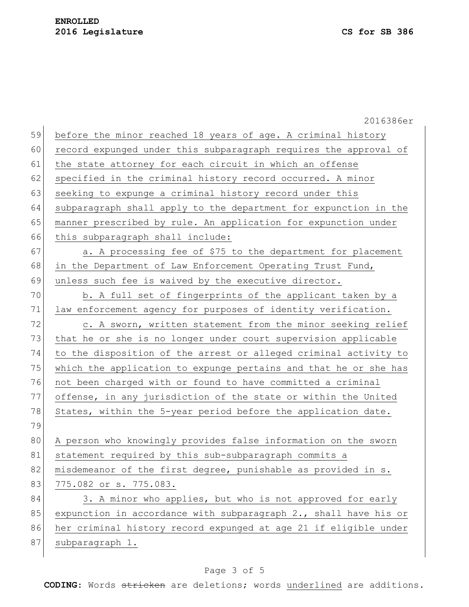|    | 2016386er                                                        |
|----|------------------------------------------------------------------|
| 59 | before the minor reached 18 years of age. A criminal history     |
| 60 | record expunged under this subparagraph requires the approval of |
| 61 | the state attorney for each circuit in which an offense          |
| 62 | specified in the criminal history record occurred. A minor       |
| 63 | seeking to expunge a criminal history record under this          |
| 64 | subparagraph shall apply to the department for expunction in the |
| 65 | manner prescribed by rule. An application for expunction under   |
| 66 | this subparagraph shall include:                                 |
| 67 | a. A processing fee of \$75 to the department for placement      |
| 68 | in the Department of Law Enforcement Operating Trust Fund,       |
| 69 | unless such fee is waived by the executive director.             |
| 70 | b. A full set of fingerprints of the applicant taken by a        |
| 71 | law enforcement agency for purposes of identity verification.    |
| 72 | c. A sworn, written statement from the minor seeking relief      |
| 73 | that he or she is no longer under court supervision applicable   |
| 74 | to the disposition of the arrest or alleged criminal activity to |
| 75 | which the application to expunge pertains and that he or she has |
| 76 | not been charged with or found to have committed a criminal      |
| 77 | offense, in any jurisdiction of the state or within the United   |
| 78 | States, within the 5-year period before the application date.    |
| 79 |                                                                  |
| 80 | A person who knowingly provides false information on the sworn   |
| 81 | statement required by this sub-subparagraph commits a            |
| 82 | misdemeanor of the first degree, punishable as provided in s.    |
| 83 | 775.082 or s. 775.083.                                           |
| 84 | 3. A minor who applies, but who is not approved for early        |
| 85 | expunction in accordance with subparagraph 2., shall have his or |
| 86 | her criminal history record expunged at age 21 if eligible under |
| 87 | subparagraph 1.                                                  |
|    |                                                                  |

# Page 3 of 5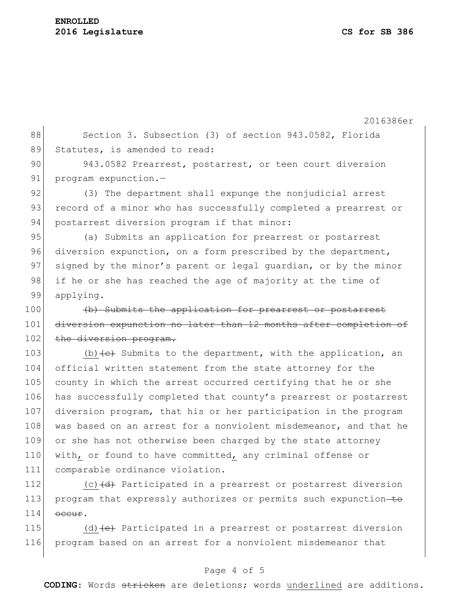#### **ENROLLED 2016 Legislature CS for SB 386**

 $114$  occur.

2016386er 88 Section 3. Subsection (3) of section 943.0582, Florida 89 Statutes, is amended to read: 90 943.0582 Prearrest, postarrest, or teen court diversion 91 program expunction.-92 (3) The department shall expunge the nonjudicial arrest 93 record of a minor who has successfully completed a prearrest or 94 postarrest diversion program if that minor: 95 (a) Submits an application for prearrest or postarrest 96 diversion expunction, on a form prescribed by the department, 97 signed by the minor's parent or legal quardian, or by the minor 98 if he or she has reached the age of majority at the time of 99 applying. 100 (b) Submits the application for prearrest or postarrest 101 diversion expunction no later than 12 months after completion of 102 the diversion program. 103 (b)  $\left\{e\right\}$  Submits to the department, with the application, an 104 official written statement from the state attorney for the 105 county in which the arrest occurred certifying that he or she 106 has successfully completed that county's prearrest or postarrest 107 diversion program, that his or her participation in the program 108 was based on an arrest for a nonviolent misdemeanor, and that he 109 or she has not otherwise been charged by the state attorney 110 with, or found to have committed, any criminal offense or 111 comparable ordinance violation. 112 (c) (d) Participated in a prearrest or postarrest diversion 113 program that expressly authorizes or permits such expunction-to

115 (d)  $(e)$  Participated in a prearrest or postarrest diversion 116 program based on an arrest for a nonviolent misdemeanor that

#### Page 4 of 5